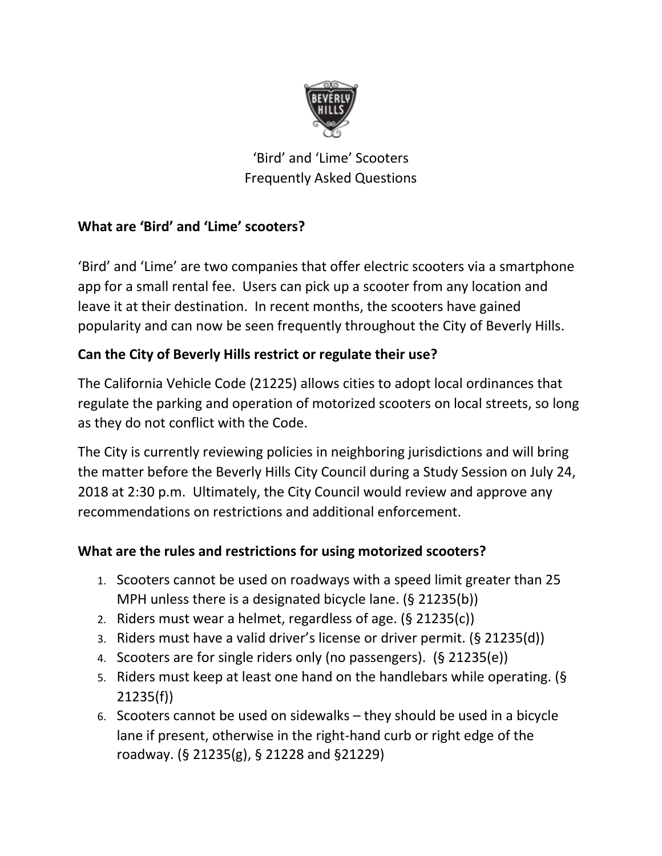

'Bird' and 'Lime' Scooters Frequently Asked Questions

## **What are 'Bird' and 'Lime' scooters?**

'Bird' and 'Lime' are two companies that offer electric scooters via a smartphone app for a small rental fee. Users can pick up a scooter from any location and leave it at their destination. In recent months, the scooters have gained popularity and can now be seen frequently throughout the City of Beverly Hills.

## **Can the City of Beverly Hills restrict or regulate their use?**

The California Vehicle Code (21225) allows cities to adopt local ordinances that regulate the parking and operation of motorized scooters on local streets, so long as they do not conflict with the Code.

The City is currently reviewing policies in neighboring jurisdictions and will bring the matter before the Beverly Hills City Council during a Study Session on July 24, 2018 at 2:30 p.m. Ultimately, the City Council would review and approve any recommendations on restrictions and additional enforcement.

#### **What are the rules and restrictions for using motorized scooters?**

- 1. Scooters cannot be used on roadways with a speed limit greater than 25 MPH unless there is a designated bicycle lane. (§ 21235(b))
- 2. Riders must wear a helmet, regardless of age. (§ 21235(c))
- 3. Riders must have a valid driver's license or driver permit. (§ 21235(d))
- 4. Scooters are for single riders only (no passengers). (§ 21235(e))
- 5. Riders must keep at least one hand on the handlebars while operating. (§ 21235(f))
- 6. Scooters cannot be used on sidewalks they should be used in a bicycle lane if present, otherwise in the right-hand curb or right edge of the roadway. (§ 21235(g), § 21228 and §21229)